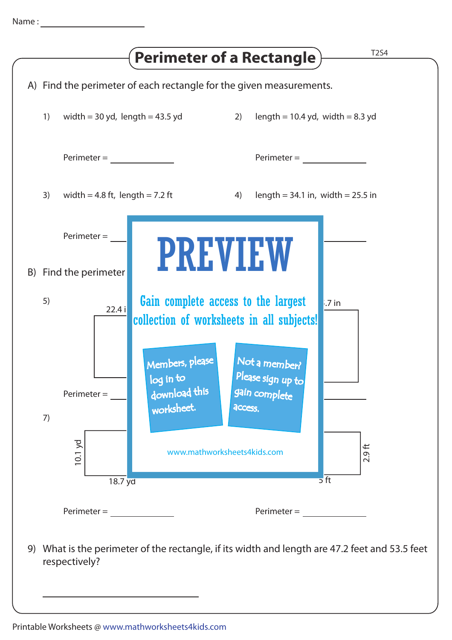